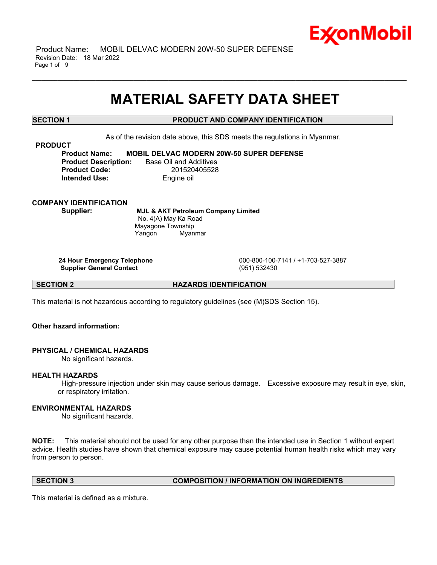

 Product Name: MOBIL DELVAC MODERN 20W-50 SUPER DEFENSE Revision Date: 18 Mar 2022 Page 1 of 9

# **MATERIAL SAFETY DATA SHEET**

\_\_\_\_\_\_\_\_\_\_\_\_\_\_\_\_\_\_\_\_\_\_\_\_\_\_\_\_\_\_\_\_\_\_\_\_\_\_\_\_\_\_\_\_\_\_\_\_\_\_\_\_\_\_\_\_\_\_\_\_\_\_\_\_\_\_\_\_\_\_\_\_\_\_\_\_\_\_\_\_\_\_\_\_\_\_\_\_\_\_\_\_\_\_\_\_\_\_\_\_\_\_\_\_\_\_\_\_\_\_\_\_\_\_\_\_\_\_

# **SECTION 1 PRODUCT AND COMPANY IDENTIFICATION**

As of the revision date above, this SDS meets the regulations in Myanmar.

# **PRODUCT**

**Product Name: MOBIL DELVAC MODERN 20W-50 SUPER DEFENSE Product Description:** Base Oil and Additives **Product Code:** 201520405528 **Intended Use:** Engine oil

**COMPANY IDENTIFICATION**

**Supplier: MJL & AKT Petroleum Company Limited** No. 4(A) May Ka Road Mayagone Township Yangon Myanmar

**Supplier General Contact** (951) 532430

**24 Hour Emergency Telephone** 000-800-100-7141 / +1-703-527-3887

**SECTION 2 HAZARDS IDENTIFICATION**

This material is not hazardous according to regulatory guidelines (see (M)SDS Section 15).

**Other hazard information:**

# **PHYSICAL / CHEMICAL HAZARDS**

No significant hazards.

### **HEALTH HAZARDS**

High-pressure injection under skin may cause serious damage. Excessive exposure may result in eye, skin, or respiratory irritation.

# **ENVIRONMENTAL HAZARDS**

No significant hazards.

**NOTE:** This material should not be used for any other purpose than the intended use in Section 1 without expert advice. Health studies have shown that chemical exposure may cause potential human health risks which may vary from person to person.

# **SECTION 3 COMPOSITION / INFORMATION ON INGREDIENTS**

This material is defined as a mixture.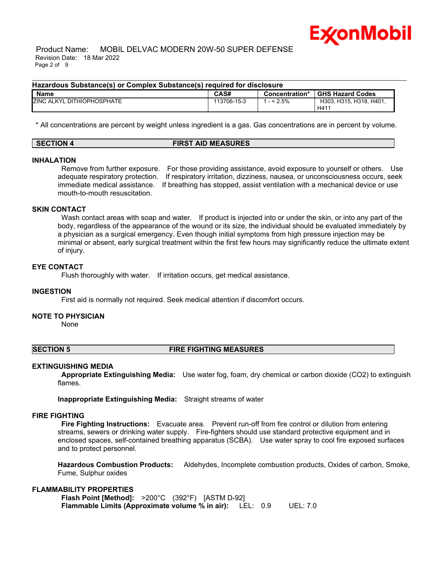

 Product Name: MOBIL DELVAC MODERN 20W-50 SUPER DEFENSE Revision Date: 18 Mar 2022 Page 2 of 9

#### **Hazardous Substance(s) or Complex Substance(s) required for disclosure**

| <b>Name</b>                     | CAS#        | Concentration* | <b>GHS Hazard Codes</b> |
|---------------------------------|-------------|----------------|-------------------------|
| ZINC ALKYL<br>. DITHIOPHOSPHATE | 113706-15-3 | $< 2.5\%$      | H303, H315, H318, H401, |
|                                 |             |                | H41                     |

\_\_\_\_\_\_\_\_\_\_\_\_\_\_\_\_\_\_\_\_\_\_\_\_\_\_\_\_\_\_\_\_\_\_\_\_\_\_\_\_\_\_\_\_\_\_\_\_\_\_\_\_\_\_\_\_\_\_\_\_\_\_\_\_\_\_\_\_\_\_\_\_\_\_\_\_\_\_\_\_\_\_\_\_\_\_\_\_\_\_\_\_\_\_\_\_\_\_\_\_\_\_\_\_\_\_\_\_\_\_\_\_\_\_\_\_\_\_

\* All concentrations are percent by weight unless ingredient is a gas. Gas concentrations are in percent by volume.

| <b>SECTION</b> | <b>FIRST AID MEASURES</b> |
|----------------|---------------------------|

#### **INHALATION**

Remove from further exposure. For those providing assistance, avoid exposure to yourself or others. Use adequate respiratory protection. If respiratory irritation, dizziness, nausea, or unconsciousness occurs, seek immediate medical assistance. If breathing has stopped, assist ventilation with a mechanical device or use mouth-to-mouth resuscitation.

### **SKIN CONTACT**

Wash contact areas with soap and water. If product is injected into or under the skin, or into any part of the body, regardless of the appearance of the wound or its size, the individual should be evaluated immediately by a physician as a surgical emergency. Even though initial symptoms from high pressure injection may be minimal or absent, early surgical treatment within the first few hours may significantly reduce the ultimate extent of injury.

# **EYE CONTACT**

Flush thoroughly with water. If irritation occurs, get medical assistance.

### **INGESTION**

First aid is normally not required. Seek medical attention if discomfort occurs.

### **NOTE TO PHYSICIAN**

None

# **SECTION 5 FIRE FIGHTING MEASURES**

### **EXTINGUISHING MEDIA**

**Appropriate Extinguishing Media:** Use water fog, foam, dry chemical or carbon dioxide (CO2) to extinguish flames.

**Inappropriate Extinguishing Media:** Straight streams of water

### **FIRE FIGHTING**

**Fire Fighting Instructions:** Evacuate area. Prevent run-off from fire control or dilution from entering streams, sewers or drinking water supply. Fire-fighters should use standard protective equipment and in enclosed spaces, self-contained breathing apparatus (SCBA). Use water spray to cool fire exposed surfaces and to protect personnel.

**Hazardous Combustion Products:** Aldehydes, Incomplete combustion products, Oxides of carbon, Smoke, Fume, Sulphur oxides

### **FLAMMABILITY PROPERTIES**

**Flash Point [Method]:** >200°C (392°F) [ASTM D-92] **Flammable Limits (Approximate volume % in air):** LEL: 0.9 UEL: 7.0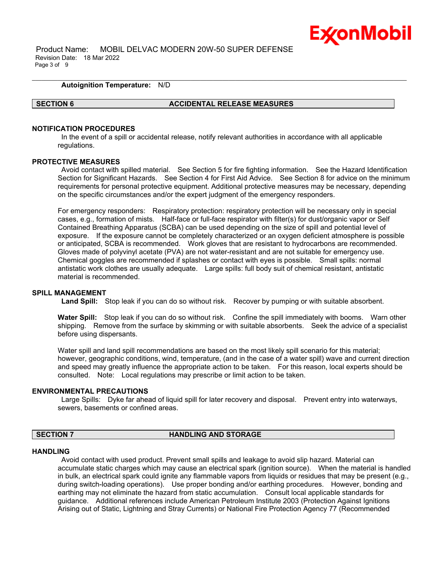

 Product Name: MOBIL DELVAC MODERN 20W-50 SUPER DEFENSE Revision Date: 18 Mar 2022 Page 3 of 9

# **Autoignition Temperature:** N/D

### **SECTION 6 ACCIDENTAL RELEASE MEASURES**

\_\_\_\_\_\_\_\_\_\_\_\_\_\_\_\_\_\_\_\_\_\_\_\_\_\_\_\_\_\_\_\_\_\_\_\_\_\_\_\_\_\_\_\_\_\_\_\_\_\_\_\_\_\_\_\_\_\_\_\_\_\_\_\_\_\_\_\_\_\_\_\_\_\_\_\_\_\_\_\_\_\_\_\_\_\_\_\_\_\_\_\_\_\_\_\_\_\_\_\_\_\_\_\_\_\_\_\_\_\_\_\_\_\_\_\_\_\_

# **NOTIFICATION PROCEDURES**

In the event of a spill or accidental release, notify relevant authorities in accordance with all applicable regulations.

# **PROTECTIVE MEASURES**

Avoid contact with spilled material. See Section 5 for fire fighting information. See the Hazard Identification Section for Significant Hazards. See Section 4 for First Aid Advice. See Section 8 for advice on the minimum requirements for personal protective equipment. Additional protective measures may be necessary, depending on the specific circumstances and/or the expert judgment of the emergency responders.

For emergency responders: Respiratory protection: respiratory protection will be necessary only in special cases, e.g., formation of mists. Half-face or full-face respirator with filter(s) for dust/organic vapor or Self Contained Breathing Apparatus (SCBA) can be used depending on the size of spill and potential level of exposure. If the exposure cannot be completely characterized or an oxygen deficient atmosphere is possible or anticipated, SCBA is recommended. Work gloves that are resistant to hydrocarbons are recommended. Gloves made of polyvinyl acetate (PVA) are not water-resistant and are not suitable for emergency use. Chemical goggles are recommended if splashes or contact with eyes is possible. Small spills: normal antistatic work clothes are usually adequate. Large spills: full body suit of chemical resistant, antistatic material is recommended.

### **SPILL MANAGEMENT**

**Land Spill:** Stop leak if you can do so without risk. Recover by pumping or with suitable absorbent.

**Water Spill:** Stop leak if you can do so without risk. Confine the spill immediately with booms. Warn other shipping. Remove from the surface by skimming or with suitable absorbents. Seek the advice of a specialist before using dispersants.

Water spill and land spill recommendations are based on the most likely spill scenario for this material; however, geographic conditions, wind, temperature, (and in the case of a water spill) wave and current direction and speed may greatly influence the appropriate action to be taken. For this reason, local experts should be consulted. Note: Local regulations may prescribe or limit action to be taken.

#### **ENVIRONMENTAL PRECAUTIONS**

Large Spills: Dyke far ahead of liquid spill for later recovery and disposal. Prevent entry into waterways, sewers, basements or confined areas.

# **SECTION 7 HANDLING AND STORAGE**

### **HANDLING**

Avoid contact with used product. Prevent small spills and leakage to avoid slip hazard. Material can accumulate static charges which may cause an electrical spark (ignition source). When the material is handled in bulk, an electrical spark could ignite any flammable vapors from liquids or residues that may be present (e.g., during switch-loading operations). Use proper bonding and/or earthing procedures. However, bonding and earthing may not eliminate the hazard from static accumulation. Consult local applicable standards for guidance. Additional references include American Petroleum Institute 2003 (Protection Against Ignitions Arising out of Static, Lightning and Stray Currents) or National Fire Protection Agency 77 (Recommended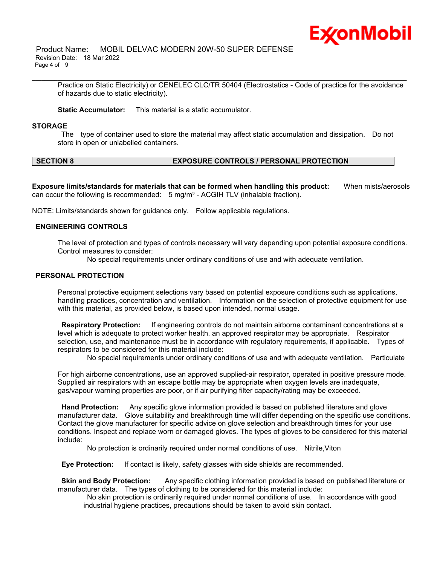

Practice on Static Electricity) or CENELEC CLC/TR 50404 (Electrostatics - Code of practice for the avoidance of hazards due to static electricity).

\_\_\_\_\_\_\_\_\_\_\_\_\_\_\_\_\_\_\_\_\_\_\_\_\_\_\_\_\_\_\_\_\_\_\_\_\_\_\_\_\_\_\_\_\_\_\_\_\_\_\_\_\_\_\_\_\_\_\_\_\_\_\_\_\_\_\_\_\_\_\_\_\_\_\_\_\_\_\_\_\_\_\_\_\_\_\_\_\_\_\_\_\_\_\_\_\_\_\_\_\_\_\_\_\_\_\_\_\_\_\_\_\_\_\_\_\_\_

**Static Accumulator:** This material is a static accumulator.

#### **STORAGE**

The type of container used to store the material may affect static accumulation and dissipation. Do not store in open or unlabelled containers.

# **SECTION 8 EXPOSURE CONTROLS / PERSONAL PROTECTION**

**Exposure limits/standards for materials that can be formed when handling this product:** When mists/aerosols can occur the following is recommended:  $5 \text{ mg/m}^3$  - ACGIH TLV (inhalable fraction).

NOTE: Limits/standards shown for guidance only. Follow applicable regulations.

### **ENGINEERING CONTROLS**

The level of protection and types of controls necessary will vary depending upon potential exposure conditions. Control measures to consider:

No special requirements under ordinary conditions of use and with adequate ventilation.

# **PERSONAL PROTECTION**

Personal protective equipment selections vary based on potential exposure conditions such as applications, handling practices, concentration and ventilation. Information on the selection of protective equipment for use with this material, as provided below, is based upon intended, normal usage.

**Respiratory Protection:** If engineering controls do not maintain airborne contaminant concentrations at a level which is adequate to protect worker health, an approved respirator may be appropriate. Respirator selection, use, and maintenance must be in accordance with regulatory requirements, if applicable. Types of respirators to be considered for this material include:

No special requirements under ordinary conditions of use and with adequate ventilation. Particulate

For high airborne concentrations, use an approved supplied-air respirator, operated in positive pressure mode. Supplied air respirators with an escape bottle may be appropriate when oxygen levels are inadequate, gas/vapour warning properties are poor, or if air purifying filter capacity/rating may be exceeded.

**Hand Protection:** Any specific glove information provided is based on published literature and glove manufacturer data. Glove suitability and breakthrough time will differ depending on the specific use conditions. Contact the glove manufacturer for specific advice on glove selection and breakthrough times for your use conditions. Inspect and replace worn or damaged gloves. The types of gloves to be considered for this material include:

No protection is ordinarily required under normal conditions of use. Nitrile,Viton

**Eye Protection:** If contact is likely, safety glasses with side shields are recommended.

**Skin and Body Protection:** Any specific clothing information provided is based on published literature or manufacturer data. The types of clothing to be considered for this material include:

No skin protection is ordinarily required under normal conditions of use. In accordance with good industrial hygiene practices, precautions should be taken to avoid skin contact.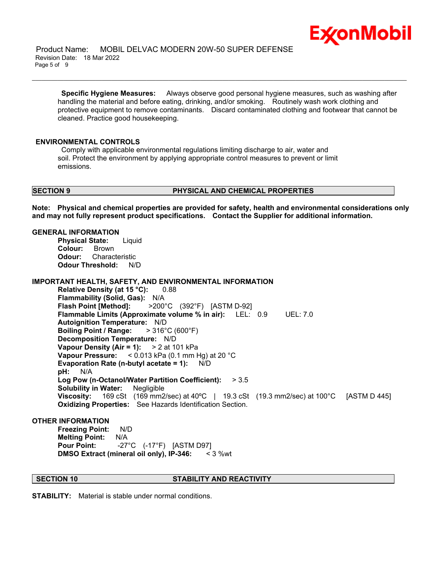

 Product Name: MOBIL DELVAC MODERN 20W-50 SUPER DEFENSE Revision Date: 18 Mar 2022 Page 5 of 9

**Specific Hygiene Measures:** Always observe good personal hygiene measures, such as washing after handling the material and before eating, drinking, and/or smoking. Routinely wash work clothing and protective equipment to remove contaminants. Discard contaminated clothing and footwear that cannot be cleaned. Practice good housekeeping.

\_\_\_\_\_\_\_\_\_\_\_\_\_\_\_\_\_\_\_\_\_\_\_\_\_\_\_\_\_\_\_\_\_\_\_\_\_\_\_\_\_\_\_\_\_\_\_\_\_\_\_\_\_\_\_\_\_\_\_\_\_\_\_\_\_\_\_\_\_\_\_\_\_\_\_\_\_\_\_\_\_\_\_\_\_\_\_\_\_\_\_\_\_\_\_\_\_\_\_\_\_\_\_\_\_\_\_\_\_\_\_\_\_\_\_\_\_\_

## **ENVIRONMENTAL CONTROLS**

Comply with applicable environmental regulations limiting discharge to air, water and soil. Protect the environment by applying appropriate control measures to prevent or limit emissions.

#### **SECTION 9 PHYSICAL AND CHEMICAL PROPERTIES**

**Note: Physical and chemical properties are provided for safety, health and environmental considerations only and may not fully represent product specifications. Contact the Supplier for additional information.**

# **GENERAL INFORMATION**

**Physical State:** Liquid **Colour:** Brown **Odour:** Characteristic **Odour Threshold:** N/D

**IMPORTANT HEALTH, SAFETY, AND ENVIRONMENTAL INFORMATION**

**Relative Density (at 15 °C):** 0.88 **Flammability (Solid, Gas):** N/A **Flash Point [Method]:** >200°C (392°F) [ASTM D-92] **Flammable Limits (Approximate volume % in air):** LEL: 0.9 UEL: 7.0 **Autoignition Temperature:** N/D **Boiling Point / Range:** > 316°C (600°F) **Decomposition Temperature:** N/D **Vapour Density (Air = 1):** > 2 at 101 kPa **Vapour Pressure:** < 0.013 kPa (0.1 mm Hg) at 20 °C **Evaporation Rate (n-butyl acetate = 1):** N/D **pH:** N/A **Log Pow (n-Octanol/Water Partition Coefficient):** > 3.5 **Solubility in Water:** Negligible **Viscosity:** 169 cSt (169 mm2/sec) at 40ºC | 19.3 cSt (19.3 mm2/sec) at 100°C [ASTM D 445] **Oxidizing Properties:** See Hazards Identification Section.

# **OTHER INFORMATION**

**Freezing Point:** N/D **Melting Point:** N/A **Pour Point:** -27°C (-17°F) [ASTM D97] **DMSO Extract (mineral oil only), IP-346:** < 3 %wt

# **SECTION 10 STABILITY AND REACTIVITY**

**STABILITY:** Material is stable under normal conditions.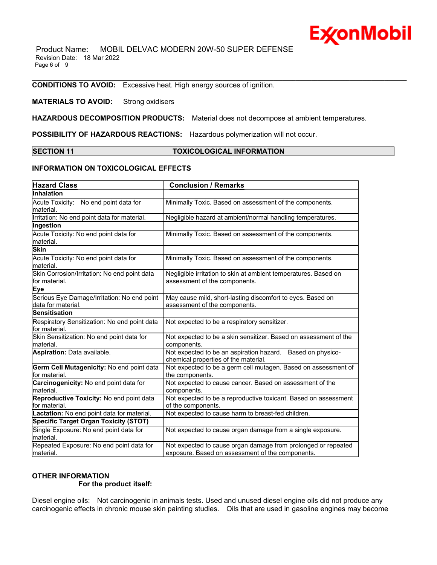Product Name: MOBIL DELVAC MODERN 20W-50 SUPER DEFENSE Revision Date: 18 Mar 2022 Page 6 of 9

**CONDITIONS TO AVOID:** Excessive heat. High energy sources of ignition.

# **MATERIALS TO AVOID:** Strong oxidisers

**HAZARDOUS DECOMPOSITION PRODUCTS:** Material does not decompose at ambient temperatures.

**POSSIBILITY OF HAZARDOUS REACTIONS:** Hazardous polymerization will not occur.

# **SECTION 11 TOXICOLOGICAL INFORMATION**

\_\_\_\_\_\_\_\_\_\_\_\_\_\_\_\_\_\_\_\_\_\_\_\_\_\_\_\_\_\_\_\_\_\_\_\_\_\_\_\_\_\_\_\_\_\_\_\_\_\_\_\_\_\_\_\_\_\_\_\_\_\_\_\_\_\_\_\_\_\_\_\_\_\_\_\_\_\_\_\_\_\_\_\_\_\_\_\_\_\_\_\_\_\_\_\_\_\_\_\_\_\_\_\_\_\_\_\_\_\_\_\_\_\_\_\_\_\_

# **INFORMATION ON TOXICOLOGICAL EFFECTS**

| <b>Hazard Class</b>                                               | <b>Conclusion / Remarks</b>                                                                                       |  |  |
|-------------------------------------------------------------------|-------------------------------------------------------------------------------------------------------------------|--|--|
| Inhalation                                                        |                                                                                                                   |  |  |
| Acute Toxicity: No end point data for<br>material.                | Minimally Toxic. Based on assessment of the components.                                                           |  |  |
| Irritation: No end point data for material.                       | Negligible hazard at ambient/normal handling temperatures.                                                        |  |  |
| Ingestion                                                         |                                                                                                                   |  |  |
| Acute Toxicity: No end point data for<br>material.                | Minimally Toxic. Based on assessment of the components.                                                           |  |  |
| <b>Skin</b>                                                       |                                                                                                                   |  |  |
| Acute Toxicity: No end point data for<br>Imaterial.               | Minimally Toxic. Based on assessment of the components.                                                           |  |  |
| Skin Corrosion/Irritation: No end point data<br>for material.     | Negligible irritation to skin at ambient temperatures. Based on<br>assessment of the components.                  |  |  |
| <b>Eye</b>                                                        |                                                                                                                   |  |  |
| Serious Eye Damage/Irritation: No end point<br>data for material. | May cause mild, short-lasting discomfort to eyes. Based on<br>assessment of the components.                       |  |  |
| <b>Sensitisation</b>                                              |                                                                                                                   |  |  |
| Respiratory Sensitization: No end point data<br>for material.     | Not expected to be a respiratory sensitizer.                                                                      |  |  |
| Skin Sensitization: No end point data for<br>material.            | Not expected to be a skin sensitizer. Based on assessment of the<br>components.                                   |  |  |
| Aspiration: Data available.                                       | Not expected to be an aspiration hazard. Based on physico-<br>chemical properties of the material.                |  |  |
| Germ Cell Mutagenicity: No end point data<br>for material.        | Not expected to be a germ cell mutagen. Based on assessment of<br>the components.                                 |  |  |
| Carcinogenicity: No end point data for<br>lmaterial.              | Not expected to cause cancer. Based on assessment of the<br>components.                                           |  |  |
| Reproductive Toxicity: No end point data<br>for material.         | Not expected to be a reproductive toxicant. Based on assessment<br>of the components.                             |  |  |
| Lactation: No end point data for material.                        | Not expected to cause harm to breast-fed children.                                                                |  |  |
| <b>Specific Target Organ Toxicity (STOT)</b>                      |                                                                                                                   |  |  |
| Single Exposure: No end point data for<br>lmaterial.              | Not expected to cause organ damage from a single exposure.                                                        |  |  |
| Repeated Exposure: No end point data for<br>material.             | Not expected to cause organ damage from prolonged or repeated<br>exposure. Based on assessment of the components. |  |  |

# **OTHER INFORMATION**

### **For the product itself:**

Diesel engine oils: Not carcinogenic in animals tests. Used and unused diesel engine oils did not produce any carcinogenic effects in chronic mouse skin painting studies. Oils that are used in gasoline engines may become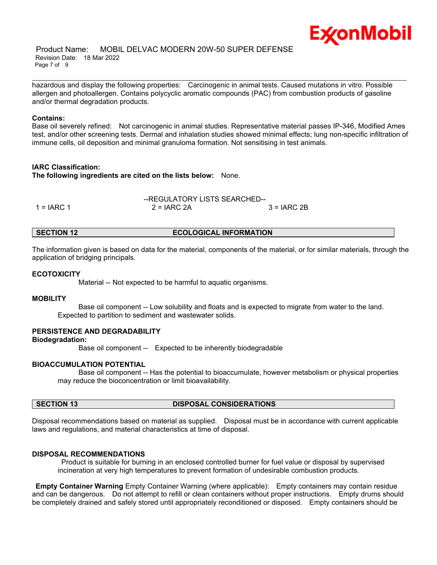hazardous and display the following properties: Carcinogenic in animal tests. Caused mutations in vitro. Possible allergen and photoallergen. Contains polycyclic aromatic compounds (PAC) from combustion products of gasoline and/or thermal degradation products.

\_\_\_\_\_\_\_\_\_\_\_\_\_\_\_\_\_\_\_\_\_\_\_\_\_\_\_\_\_\_\_\_\_\_\_\_\_\_\_\_\_\_\_\_\_\_\_\_\_\_\_\_\_\_\_\_\_\_\_\_\_\_\_\_\_\_\_\_\_\_\_\_\_\_\_\_\_\_\_\_\_\_\_\_\_\_\_\_\_\_\_\_\_\_\_\_\_\_\_\_\_\_\_\_\_\_\_\_\_\_\_\_\_\_\_\_\_\_

Ex⁄onMobil

# **Contains:**

Base oil severely refined: Not carcinogenic in animal studies. Representative material passes IP-346, Modified Ames test, and/or other screening tests. Dermal and inhalation studies showed minimal effects; lung non-specific infiltration of immune cells, oil deposition and minimal granuloma formation. Not sensitising in test animals.

# **IARC Classification:**

**The following ingredients are cited on the lists below:** None.

|               | --REGULATORY LISTS SEARCHED-- |              |  |
|---------------|-------------------------------|--------------|--|
| 1 = $I$ ARC 1 | $2 = IARC 2A$                 | $3 = IARC2B$ |  |

# **SECTION 12 ECOLOGICAL INFORMATION**

The information given is based on data for the material, components of the material, or for similar materials, through the application of bridging principals.

# **ECOTOXICITY**

Material -- Not expected to be harmful to aquatic organisms.

# **MOBILITY**

 Base oil component -- Low solubility and floats and is expected to migrate from water to the land. Expected to partition to sediment and wastewater solids.

# **PERSISTENCE AND DEGRADABILITY**

**Biodegradation:**

Base oil component -- Expected to be inherently biodegradable

# **BIOACCUMULATION POTENTIAL**

 Base oil component -- Has the potential to bioaccumulate, however metabolism or physical properties may reduce the bioconcentration or limit bioavailability.

# **SECTION 13 DISPOSAL CONSIDERATIONS**

Disposal recommendations based on material as supplied. Disposal must be in accordance with current applicable laws and regulations, and material characteristics at time of disposal.

### **DISPOSAL RECOMMENDATIONS**

Product is suitable for burning in an enclosed controlled burner for fuel value or disposal by supervised incineration at very high temperatures to prevent formation of undesirable combustion products.

**Empty Container Warning** Empty Container Warning (where applicable): Empty containers may contain residue and can be dangerous. Do not attempt to refill or clean containers without proper instructions. Empty drums should be completely drained and safely stored until appropriately reconditioned or disposed. Empty containers should be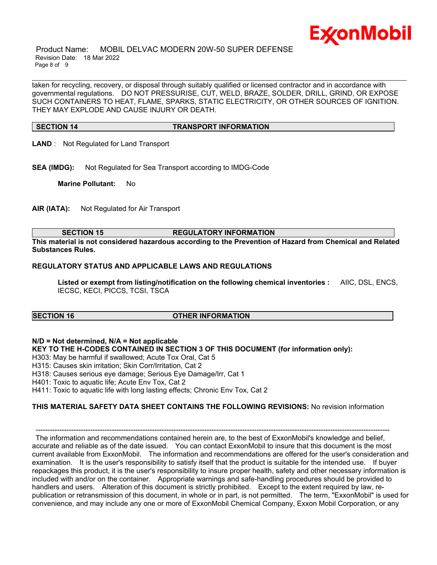

 Product Name: MOBIL DELVAC MODERN 20W-50 SUPER DEFENSE Revision Date: 18 Mar 2022 Page 8 of 9

taken for recycling, recovery, or disposal through suitably qualified or licensed contractor and in accordance with governmental regulations. DO NOT PRESSURISE, CUT, WELD, BRAZE, SOLDER, DRILL, GRIND, OR EXPOSE SUCH CONTAINERS TO HEAT, FLAME, SPARKS, STATIC ELECTRICITY, OR OTHER SOURCES OF IGNITION. THEY MAY EXPLODE AND CAUSE INJURY OR DEATH.

\_\_\_\_\_\_\_\_\_\_\_\_\_\_\_\_\_\_\_\_\_\_\_\_\_\_\_\_\_\_\_\_\_\_\_\_\_\_\_\_\_\_\_\_\_\_\_\_\_\_\_\_\_\_\_\_\_\_\_\_\_\_\_\_\_\_\_\_\_\_\_\_\_\_\_\_\_\_\_\_\_\_\_\_\_\_\_\_\_\_\_\_\_\_\_\_\_\_\_\_\_\_\_\_\_\_\_\_\_\_\_\_\_\_\_\_\_\_

# **SECTION 14 TRANSPORT INFORMATION**

- **LAND** : Not Regulated for Land Transport
- **SEA (IMDG):** Not Regulated for Sea Transport according to IMDG-Code

**Marine Pollutant:** No

**AIR (IATA):** Not Regulated for Air Transport

# **SECTION 15 REGULATORY INFORMATION**

**This material is not considered hazardous according to the Prevention of Hazard from Chemical and Related Substances Rules.**

# **REGULATORY STATUS AND APPLICABLE LAWS AND REGULATIONS**

**Listed or exempt from listing/notification on the following chemical inventories :** AIIC, DSL, ENCS, IECSC, KECI, PICCS, TCSI, TSCA

# **SECTION 16 OTHER INFORMATION**

# **N/D = Not determined, N/A = Not applicable**

**KEY TO THE H-CODES CONTAINED IN SECTION 3 OF THIS DOCUMENT (for information only):**

H303: May be harmful if swallowed; Acute Tox Oral, Cat 5

H315: Causes skin irritation; Skin Corr/Irritation, Cat 2

H318: Causes serious eye damage; Serious Eye Damage/Irr, Cat 1

H401: Toxic to aquatic life; Acute Env Tox, Cat 2

H411: Toxic to aquatic life with long lasting effects; Chronic Env Tox, Cat 2

# **THIS MATERIAL SAFETY DATA SHEET CONTAINS THE FOLLOWING REVISIONS:** No revision information

----------------------------------------------------------------------------------------------------------------------------------------------------- The information and recommendations contained herein are, to the best of ExxonMobil's knowledge and belief, accurate and reliable as of the date issued. You can contact ExxonMobil to insure that this document is the most current available from ExxonMobil. The information and recommendations are offered for the user's consideration and examination. It is the user's responsibility to satisfy itself that the product is suitable for the intended use. If buyer repackages this product, it is the user's responsibility to insure proper health, safety and other necessary information is included with and/or on the container. Appropriate warnings and safe-handling procedures should be provided to handlers and users. Alteration of this document is strictly prohibited. Except to the extent required by law, republication or retransmission of this document, in whole or in part, is not permitted. The term, "ExxonMobil" is used for convenience, and may include any one or more of ExxonMobil Chemical Company, Exxon Mobil Corporation, or any